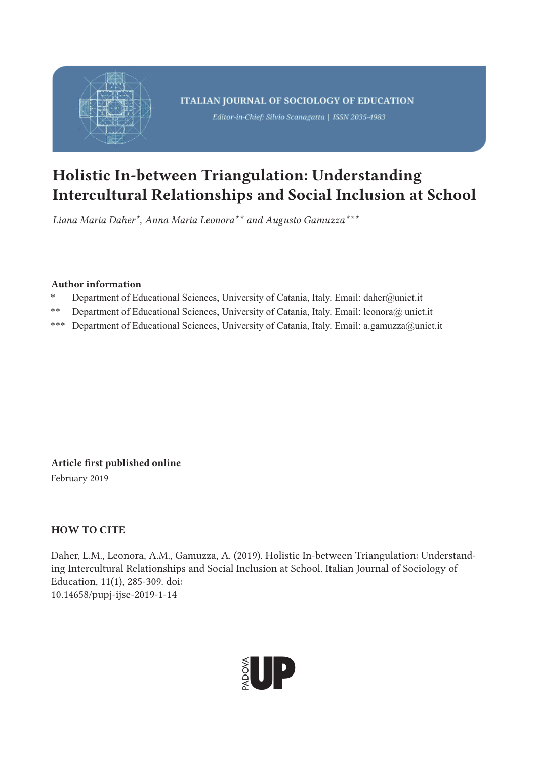

# Holistic In-between Triangulation: Understanding Intercultural Relationships and Social Inclusion at School

*Liana Maria Daher\*, Anna Maria Leonora\*\* and Augusto Gamuzza\*\*\**

## Author information

- \* Department of Educational Sciences, University of Catania, Italy. Email: daher@unict.it
- \*\* Department of Educational Sciences, University of Catania, Italy. Email: leonora@ unict.it
- \*\*\* Department of Educational Sciences, University of Catania, Italy. Email: a.gamuzza@unict.it

Article first published online

February 2019

## HOW TO CITE

Daher, L.M., Leonora, A.M., Gamuzza, A. (2019). Holistic In-between Triangulation: Understanding Intercultural Relationships and Social Inclusion at School. Italian Journal of Sociology of Education, 11(1), 285-309. doi: 10.14658/pupj-ijse-2019-1-14

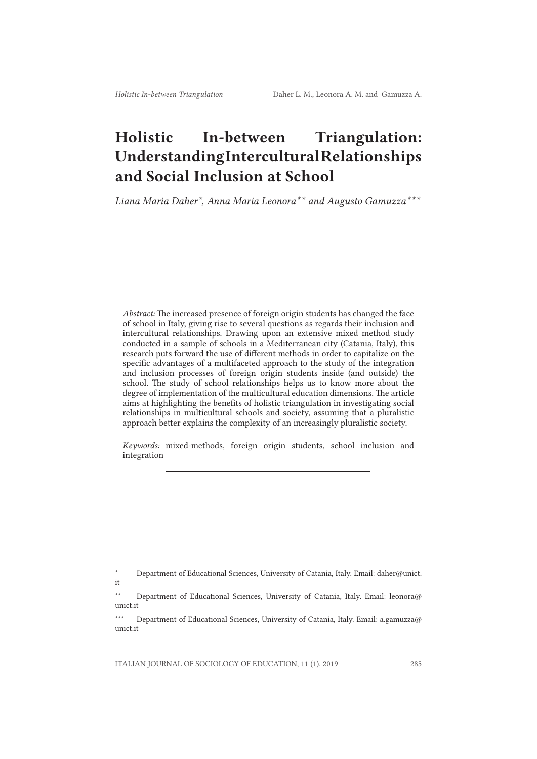## Holistic In-between Triangulation: Understanding Intercultural Relationships and Social Inclusion at School

*Liana Maria Daher\*, Anna Maria Leonora\*\* and Augusto Gamuzza\*\*\**

*Abstract:* The increased presence of foreign origin students has changed the face of school in Italy, giving rise to several questions as regards their inclusion and intercultural relationships. Drawing upon an extensive mixed method study conducted in a sample of schools in a Mediterranean city (Catania, Italy), this research puts forward the use of different methods in order to capitalize on the specific advantages of a multifaceted approach to the study of the integration and inclusion processes of foreign origin students inside (and outside) the school. The study of school relationships helps us to know more about the degree of implementation of the multicultural education dimensions. The article aims at highlighting the benefits of holistic triangulation in investigating social relationships in multicultural schools and society, assuming that a pluralistic approach better explains the complexity of an increasingly pluralistic society.

*Keywords:* mixed-methods, foreign origin students, school inclusion and integration

<sup>\*</sup> Department of Educational Sciences, University of Catania, Italy. Email: daher@unict. it

<sup>\*\*</sup> Department of Educational Sciences, University of Catania, Italy. Email: leonora@ unict.it

<sup>\*\*\*</sup> Department of Educational Sciences, University of Catania, Italy. Email: a.gamuzza@ unict.it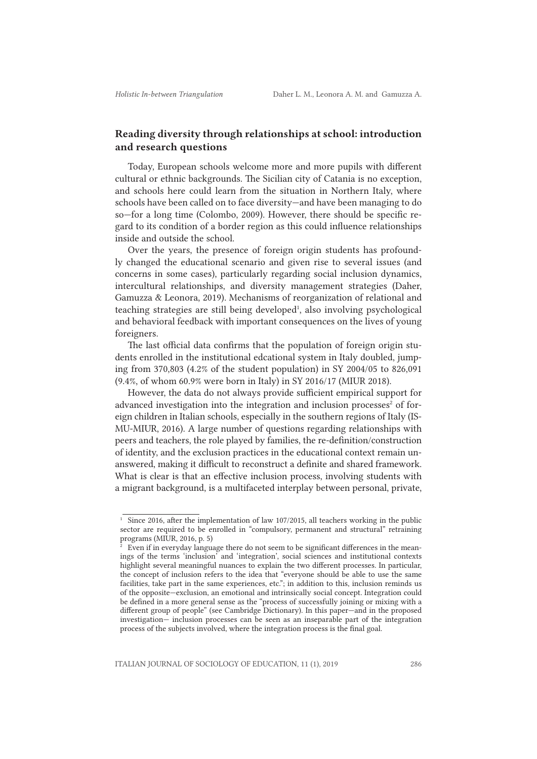## Reading diversity through relationships at school: introduction and research questions

Today, European schools welcome more and more pupils with different cultural or ethnic backgrounds. The Sicilian city of Catania is no exception, and schools here could learn from the situation in Northern Italy, where schools have been called on to face diversity—and have been managing to do so—for a long time (Colombo, 2009). However, there should be specific regard to its condition of a border region as this could influence relationships inside and outside the school.

Over the years, the presence of foreign origin students has profoundly changed the educational scenario and given rise to several issues (and concerns in some cases), particularly regarding social inclusion dynamics, intercultural relationships, and diversity management strategies (Daher, Gamuzza & Leonora, 2019). Mechanisms of reorganization of relational and teaching strategies are still being developed<sup>1</sup>, also involving psychological and behavioral feedback with important consequences on the lives of young foreigners.

The last official data confirms that the population of foreign origin students enrolled in the institutional edcational system in Italy doubled, jumping from 370,803 (4.2% of the student population) in SY 2004/05 to 826,091 (9.4%, of whom 60.9% were born in Italy) in SY 2016/17 (MIUR 2018).

However, the data do not always provide sufficient empirical support for advanced investigation into the integration and inclusion processes<sup>2</sup> of foreign children in Italian schools, especially in the southern regions of Italy (IS-MU-MIUR, 2016). A large number of questions regarding relationships with peers and teachers, the role played by families, the re-definition/construction of identity, and the exclusion practices in the educational context remain unanswered, making it difficult to reconstruct a definite and shared framework. What is clear is that an effective inclusion process, involving students with a migrant background, is a multifaceted interplay between personal, private,

<sup>&</sup>lt;sup>1</sup> Since 2016, after the implementation of law 107/2015, all teachers working in the public sector are required to be enrolled in "compulsory, permanent and structural" retraining programs (MIUR, 2016, p. 5)

 $2\degree$  Even if in everyday language there do not seem to be significant differences in the meanings of the terms 'inclusion' and 'integration', social sciences and institutional contexts highlight several meaningful nuances to explain the two different processes. In particular, the concept of inclusion refers to the idea that "everyone should be able to use the same facilities, take part in the same experiences, etc."; in addition to this, inclusion reminds us of the opposite—exclusion, an emotional and intrinsically social concept. Integration could be defined in a more general sense as the "process of successfully joining or mixing with a different group of people" (see Cambridge Dictionary). In this paper—and in the proposed investigation— inclusion processes can be seen as an inseparable part of the integration process of the subjects involved, where the integration process is the final goal.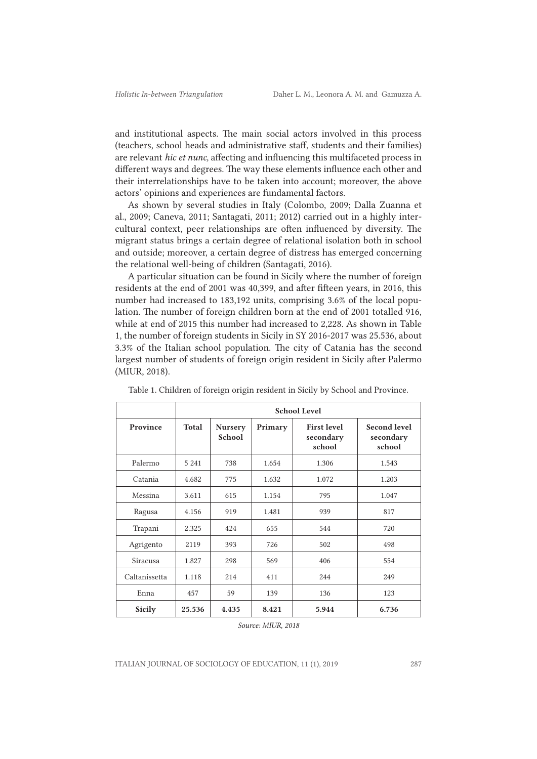and institutional aspects. The main social actors involved in this process (teachers, school heads and administrative staff, students and their families) are relevant *hic et nunc,* affecting and influencing this multifaceted process in different ways and degrees. The way these elements influence each other and their interrelationships have to be taken into account; moreover, the above actors' opinions and experiences are fundamental factors.

As shown by several studies in Italy (Colombo, 2009; Dalla Zuanna et al., 2009; Caneva, 2011; Santagati, 2011; 2012) carried out in a highly intercultural context, peer relationships are often influenced by diversity. The migrant status brings a certain degree of relational isolation both in school and outside; moreover, a certain degree of distress has emerged concerning the relational well-being of children (Santagati, 2016).

A particular situation can be found in Sicily where the number of foreign residents at the end of 2001 was 40,399, and after fifteen years, in 2016, this number had increased to 183,192 units, comprising 3.6% of the local population. The number of foreign children born at the end of 2001 totalled 916, while at end of 2015 this number had increased to 2,228. As shown in Table 1, the number of foreign students in Sicily in SY 2016-2017 was 25.536, about 3.3% of the Italian school population. The city of Catania has the second largest number of students of foreign origin resident in Sicily after Palermo (MIUR, 2018).

|               | <b>School Level</b> |                          |         |                                           |                                            |
|---------------|---------------------|--------------------------|---------|-------------------------------------------|--------------------------------------------|
| Province      | Total               | <b>Nursery</b><br>School | Primary | <b>First level</b><br>secondary<br>school | <b>Second level</b><br>secondary<br>school |
| Palermo       | 5 2 4 1             | 738                      | 1.654   | 1.306                                     | 1.543                                      |
| Catania       | 4.682               | 775                      | 1.632   | 1.072                                     | 1.203                                      |
| Messina       | 3.611               | 615                      | 1.154   | 795                                       | 1.047                                      |
| Ragusa        | 4.156               | 919                      | 1.481   | 939                                       | 817                                        |
| Trapani       | 2.325               | 424                      | 655     | 544                                       | 720                                        |
| Agrigento     | 2119                | 393                      | 726     | 502                                       | 498                                        |
| Siracusa      | 1.827               | 298                      | 569     | 406                                       | 554                                        |
| Caltanissetta | 1.118               | 214                      | 411     | 244                                       | 249                                        |
| Enna          | 457                 | 59                       | 139     | 136                                       | 123                                        |
| <b>Sicily</b> | 25.536              | 4.435                    | 8.421   | 5.944                                     | 6.736                                      |

Table 1. Children of foreign origin resident in Sicily by School and Province.

*Source: MIUR, 2018*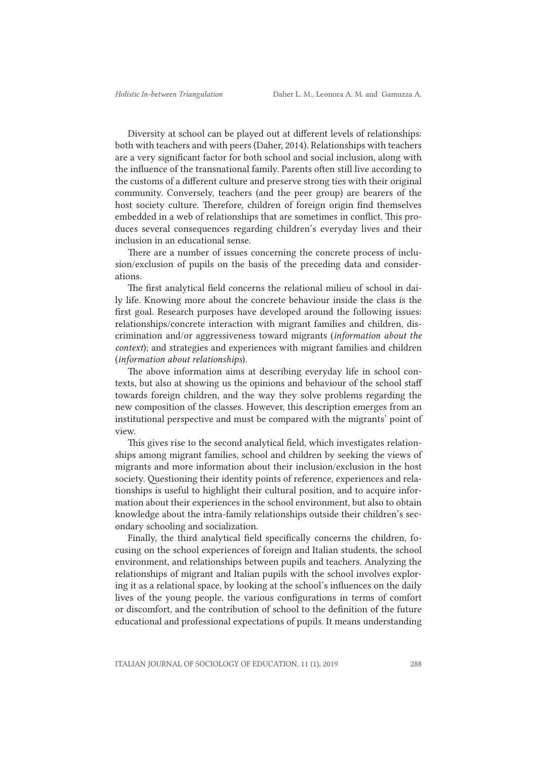Diversity at school can be played out at different levels of relationships: both with teachers and with peers (Daher, 2014). Relationships with teachers are a very significant factor for both school and social inclusion, along with the influence of the transnational family. Parents often still live according to the customs of a different culture and preserve strong ties with their original community. Conversely, teachers (and the peer group) are bearers of the host society culture. Therefore, children of foreign origin find themselves embedded in a web of relationships that are sometimes in conflict. This produces several consequences regarding children's everyday lives and their inclusion in an educational sense.

There are a number of issues concerning the concrete process of inclusion/exclusion of pupils on the basis of the preceding data and considerations.

The first analytical field concerns the relational milieu of school in daily life. Knowing more about the concrete behaviour inside the class is the first goal. Research purposes have developed around the following issues: relationships/concrete interaction with migrant families and children, discrimination and/or aggressiveness toward migrants (*information about the context*); and strategies and experiences with migrant families and children (*information about relationships*).

The above information aims at describing everyday life in school contexts, but also at showing us the opinions and behaviour of the school staff towards foreign children, and the way they solve problems regarding the new composition of the classes. However, this description emerges from an institutional perspective and must be compared with the migrants' point of view.

This gives rise to the second analytical field, which investigates relationships among migrant families, school and children by seeking the views of migrants and more information about their inclusion/exclusion in the host society. Questioning their identity points of reference, experiences and relationships is useful to highlight their cultural position, and to acquire information about their experiences in the school environment, but also to obtain knowledge about the intra-family relationships outside their children's secondary schooling and socialization.

Finally, the third analytical field specifically concerns the children, focusing on the school experiences of foreign and Italian students, the school environment, and relationships between pupils and teachers. Analyzing the relationships of migrant and Italian pupils with the school involves exploring it as a relational space, by looking at the school's influences on the daily lives of the young people, the various configurations in terms of comfort or discomfort, and the contribution of school to the definition of the future educational and professional expectations of pupils. It means understanding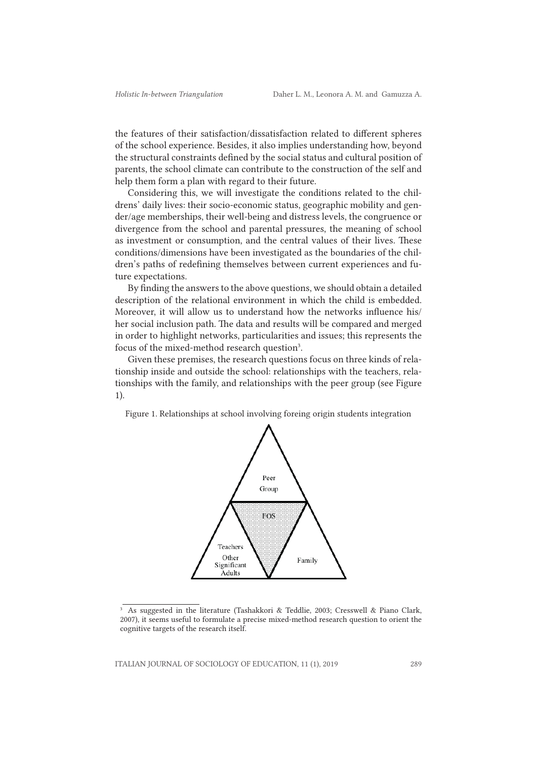the features of their satisfaction/dissatisfaction related to different spheres of the school experience. Besides, it also implies understanding how, beyond the structural constraints defined by the social status and cultural position of parents, the school climate can contribute to the construction of the self and help them form a plan with regard to their future.

Considering this, we will investigate the conditions related to the childrens' daily lives: their socio-economic status, geographic mobility and gender/age memberships, their well-being and distress levels, the congruence or divergence from the school and parental pressures, the meaning of school as investment or consumption, and the central values of their lives. These conditions/dimensions have been investigated as the boundaries of the children's paths of redefining themselves between current experiences and future expectations.

By finding the answers to the above questions, we should obtain a detailed description of the relational environment in which the child is embedded. Moreover, it will allow us to understand how the networks influence his/ her social inclusion path. The data and results will be compared and merged in order to highlight networks, particularities and issues; this represents the focus of the mixed-method research question<sup>3</sup>.

Given these premises, the research questions focus on three kinds of relationship inside and outside the school: relationships with the teachers, relationships with the family, and relationships with the peer group (see Figure 1).

Figure 1. Relationships at school involving foreing origin students integration



<sup>&</sup>lt;sup>3</sup> As suggested in the literature (Tashakkori & Teddlie, 2003; Cresswell & Piano Clark, 2007), it seems useful to formulate a precise mixed-method research question to orient the cognitive targets of the research itself.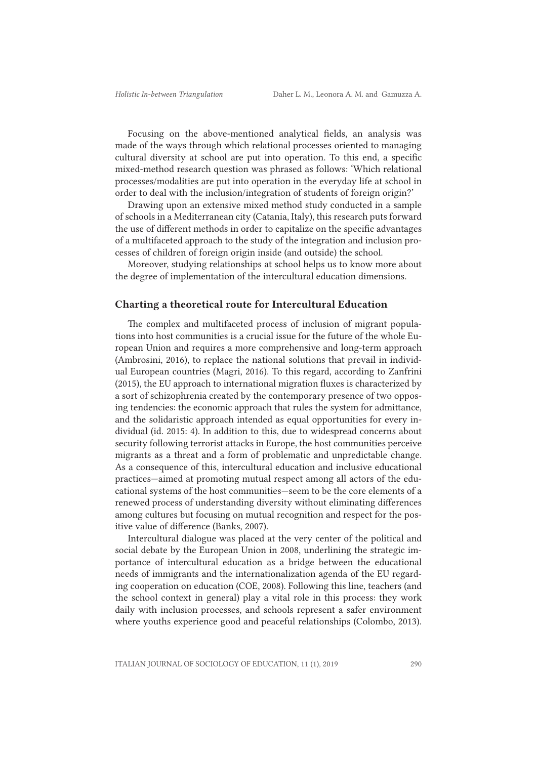Focusing on the above-mentioned analytical fields, an analysis was made of the ways through which relational processes oriented to managing cultural diversity at school are put into operation. To this end, a specific mixed-method research question was phrased as follows: 'Which relational processes/modalities are put into operation in the everyday life at school in order to deal with the inclusion/integration of students of foreign origin?'

Drawing upon an extensive mixed method study conducted in a sample of schools in a Mediterranean city (Catania, Italy), this research puts forward the use of different methods in order to capitalize on the specific advantages of a multifaceted approach to the study of the integration and inclusion processes of children of foreign origin inside (and outside) the school.

Moreover, studying relationships at school helps us to know more about the degree of implementation of the intercultural education dimensions.

#### Charting a theoretical route for Intercultural Education

The complex and multifaceted process of inclusion of migrant populations into host communities is a crucial issue for the future of the whole European Union and requires a more comprehensive and long-term approach (Ambrosini, 2016), to replace the national solutions that prevail in individual European countries (Magri, 2016). To this regard, according to Zanfrini (2015), the EU approach to international migration fluxes is characterized by a sort of schizophrenia created by the contemporary presence of two opposing tendencies: the economic approach that rules the system for admittance, and the solidaristic approach intended as equal opportunities for every individual (id. 2015: 4). In addition to this, due to widespread concerns about security following terrorist attacks in Europe, the host communities perceive migrants as a threat and a form of problematic and unpredictable change. As a consequence of this, intercultural education and inclusive educational practices—aimed at promoting mutual respect among all actors of the educational systems of the host communities—seem to be the core elements of a renewed process of understanding diversity without eliminating differences among cultures but focusing on mutual recognition and respect for the positive value of difference (Banks, 2007).

Intercultural dialogue was placed at the very center of the political and social debate by the European Union in 2008, underlining the strategic importance of intercultural education as a bridge between the educational needs of immigrants and the internationalization agenda of the EU regarding cooperation on education (COE, 2008). Following this line, teachers (and the school context in general) play a vital role in this process: they work daily with inclusion processes, and schools represent a safer environment where youths experience good and peaceful relationships (Colombo, 2013).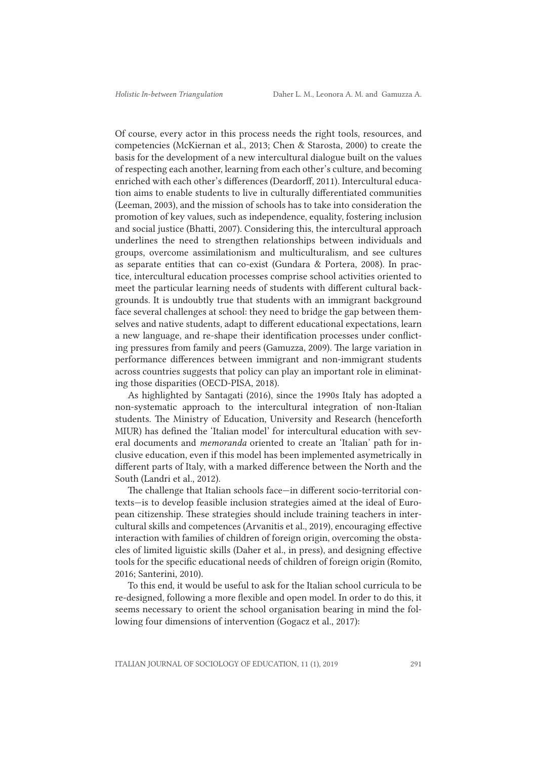Of course, every actor in this process needs the right tools, resources, and competencies (McKiernan et al., 2013; Chen & Starosta, 2000) to create the basis for the development of a new intercultural dialogue built on the values of respecting each another, learning from each other's culture, and becoming enriched with each other's differences (Deardorff, 2011). Intercultural education aims to enable students to live in culturally differentiated communities (Leeman, 2003), and the mission of schools has to take into consideration the promotion of key values, such as independence, equality, fostering inclusion and social justice (Bhatti, 2007). Considering this, the intercultural approach underlines the need to strengthen relationships between individuals and groups, overcome assimilationism and multiculturalism, and see cultures as separate entities that can co-exist (Gundara & Portera, 2008). In practice, intercultural education processes comprise school activities oriented to meet the particular learning needs of students with different cultural backgrounds. It is undoubtly true that students with an immigrant background face several challenges at school: they need to bridge the gap between themselves and native students, adapt to different educational expectations, learn a new language, and re-shape their identification processes under conflicting pressures from family and peers (Gamuzza, 2009). The large variation in performance differences between immigrant and non-immigrant students across countries suggests that policy can play an important role in eliminating those disparities (OECD-PISA, 2018).

As highlighted by Santagati (2016), since the 1990s Italy has adopted a non-systematic approach to the intercultural integration of non-Italian students. The Ministry of Education, University and Research (henceforth MIUR) has defined the 'Italian model' for intercultural education with several documents and *memoranda* oriented to create an 'Italian' path for inclusive education, even if this model has been implemented asymetrically in different parts of Italy, with a marked difference between the North and the South (Landri et al., 2012).

The challenge that Italian schools face—in different socio-territorial contexts—is to develop feasible inclusion strategies aimed at the ideal of European citizenship. These strategies should include training teachers in intercultural skills and competences (Arvanitis et al., 2019), encouraging effective interaction with families of children of foreign origin, overcoming the obstacles of limited liguistic skills (Daher et al., in press), and designing effective tools for the specific educational needs of children of foreign origin (Romito, 2016; Santerini, 2010).

To this end, it would be useful to ask for the Italian school curricula to be re-designed, following a more flexible and open model. In order to do this, it seems necessary to orient the school organisation bearing in mind the following four dimensions of intervention (Gogacz et al., 2017):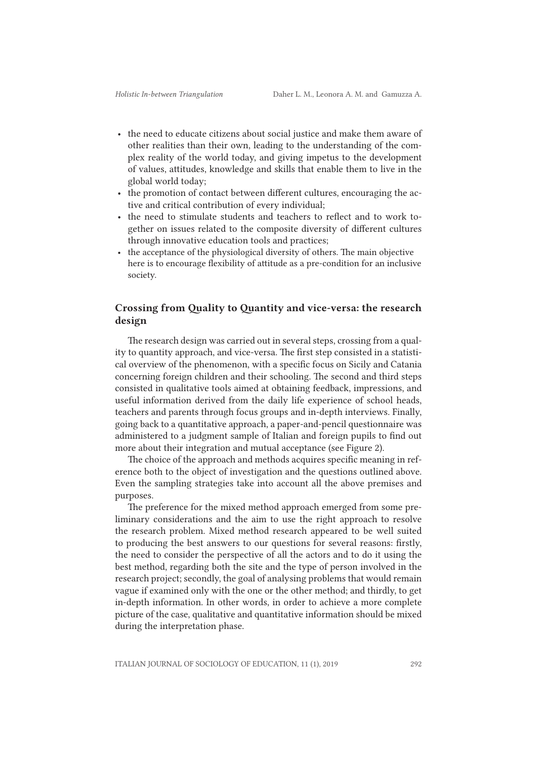- the need to educate citizens about social justice and make them aware of other realities than their own, leading to the understanding of the complex reality of the world today, and giving impetus to the development of values, attitudes, knowledge and skills that enable them to live in the global world today;
- the promotion of contact between different cultures, encouraging the active and critical contribution of every individual;
- the need to stimulate students and teachers to reflect and to work together on issues related to the composite diversity of different cultures through innovative education tools and practices;
- the acceptance of the physiological diversity of others. The main objective here is to encourage flexibility of attitude as a pre-condition for an inclusive society.

## Crossing from Quality to Quantity and vice-versa: the research design

The research design was carried out in several steps, crossing from a quality to quantity approach, and vice-versa. The first step consisted in a statistical overview of the phenomenon, with a specific focus on Sicily and Catania concerning foreign children and their schooling. The second and third steps consisted in qualitative tools aimed at obtaining feedback, impressions, and useful information derived from the daily life experience of school heads, teachers and parents through focus groups and in-depth interviews. Finally, going back to a quantitative approach, a paper-and-pencil questionnaire was administered to a judgment sample of Italian and foreign pupils to find out more about their integration and mutual acceptance (see Figure 2).

The choice of the approach and methods acquires specific meaning in reference both to the object of investigation and the questions outlined above. Even the sampling strategies take into account all the above premises and purposes.

The preference for the mixed method approach emerged from some preliminary considerations and the aim to use the right approach to resolve the research problem. Mixed method research appeared to be well suited to producing the best answers to our questions for several reasons: firstly, the need to consider the perspective of all the actors and to do it using the best method, regarding both the site and the type of person involved in the research project; secondly, the goal of analysing problems that would remain vague if examined only with the one or the other method; and thirdly, to get in-depth information. In other words, in order to achieve a more complete picture of the case, qualitative and quantitative information should be mixed during the interpretation phase.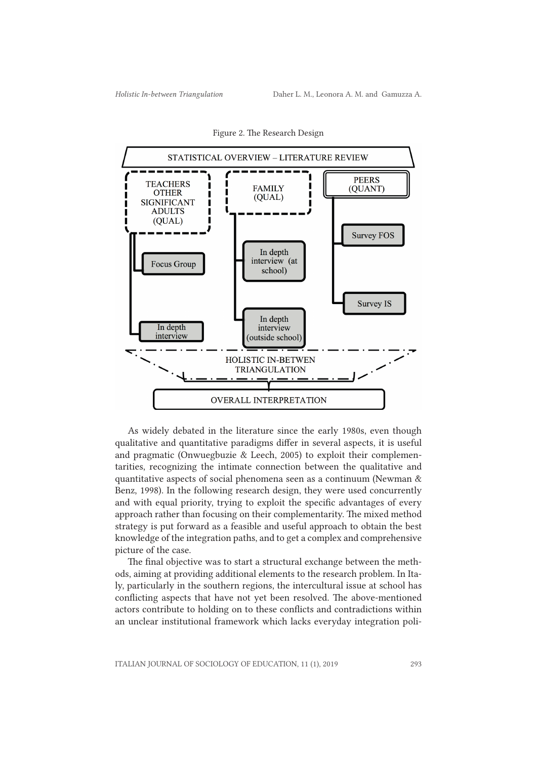

Figure 2. The Research Design

As widely debated in the literature since the early 1980s, even though qualitative and quantitative paradigms differ in several aspects, it is useful and pragmatic (Onwuegbuzie & Leech, 2005) to exploit their complementarities, recognizing the intimate connection between the qualitative and quantitative aspects of social phenomena seen as a continuum (Newman & Benz, 1998). In the following research design, they were used concurrently and with equal priority, trying to exploit the specific advantages of every approach rather than focusing on their complementarity. The mixed method strategy is put forward as a feasible and useful approach to obtain the best knowledge of the integration paths, and to get a complex and comprehensive picture of the case.

The final objective was to start a structural exchange between the methods, aiming at providing additional elements to the research problem. In Italy, particularly in the southern regions, the intercultural issue at school has conflicting aspects that have not yet been resolved. The above-mentioned actors contribute to holding on to these conflicts and contradictions within an unclear institutional framework which lacks everyday integration poli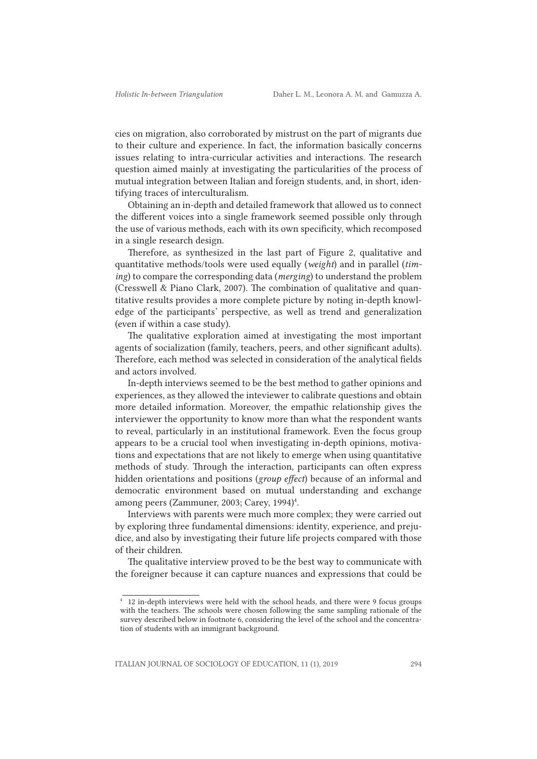cies on migration, also corroborated by mistrust on the part of migrants due to their culture and experience. In fact, the information basically concerns issues relating to intra-curricular activities and interactions. The research question aimed mainly at investigating the particularities of the process of mutual integration between Italian and foreign students, and, in short, identifying traces of interculturalism.

Obtaining an in-depth and detailed framework that allowed us to connect the different voices into a single framework seemed possible only through the use of various methods, each with its own specificity, which recomposed in a single research design.

Therefore, as synthesized in the last part of Figure 2, qualitative and quantitative methods/tools were used equally (*weight*) and in parallel (*timing*) to compare the corresponding data (*merging*) to understand the problem (Cresswell & Piano Clark, 2007). The combination of qualitative and quantitative results provides a more complete picture by noting in-depth knowledge of the participants' perspective, as well as trend and generalization (even if within a case study).

The qualitative exploration aimed at investigating the most important agents of socialization (family, teachers, peers, and other significant adults). Therefore, each method was selected in consideration of the analytical fields and actors involved.

In-depth interviews seemed to be the best method to gather opinions and experiences, as they allowed the inteviewer to calibrate questions and obtain more detailed information. Moreover, the empathic relationship gives the interviewer the opportunity to know more than what the respondent wants to reveal, particularly in an institutional framework. Even the focus group appears to be a crucial tool when investigating in-depth opinions, motivations and expectations that are not likely to emerge when using quantitative methods of study. Through the interaction, participants can often express hidden orientations and positions (*group effect*) because of an informal and democratic environment based on mutual understanding and exchange among peers (Zammuner, 2003; Carey, 1994)<sup>4</sup>.

Interviews with parents were much more complex; they were carried out by exploring three fundamental dimensions: identity, experience, and prejudice, and also by investigating their future life projects compared with those of their children.

The qualitative interview proved to be the best way to communicate with the foreigner because it can capture nuances and expressions that could be

<sup>4</sup> 12 in-depth interviews were held with the school heads, and there were 9 focus groups with the teachers. The schools were chosen following the same sampling rationale of the survey described below in footnote 6, considering the level of the school and the concentration of students with an immigrant background.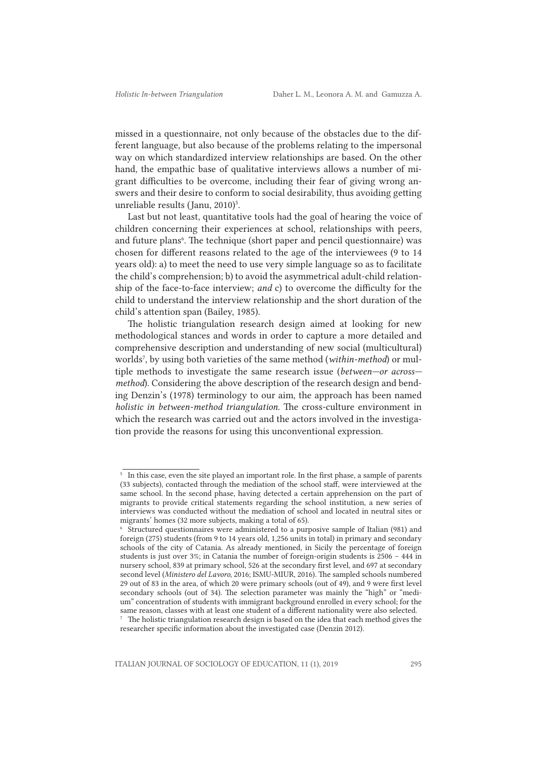missed in a questionnaire, not only because of the obstacles due to the different language, but also because of the problems relating to the impersonal way on which standardized interview relationships are based. On the other hand, the empathic base of qualitative interviews allows a number of migrant difficulties to be overcome, including their fear of giving wrong answers and their desire to conform to social desirability, thus avoiding getting unreliable results (Janu, 2010)<sup>5</sup>.

Last but not least, quantitative tools had the goal of hearing the voice of children concerning their experiences at school, relationships with peers, and future plans<sup>6</sup>. The technique (short paper and pencil questionnaire) was chosen for different reasons related to the age of the interviewees (9 to 14 years old): a) to meet the need to use very simple language so as to facilitate the child's comprehension; b) to avoid the asymmetrical adult-child relationship of the face-to-face interview; *and* c) to overcome the difficulty for the child to understand the interview relationship and the short duration of the child's attention span (Bailey, 1985).

The holistic triangulation research design aimed at looking for new methodological stances and words in order to capture a more detailed and comprehensive description and understanding of new social (multicultural) worlds7 , by using both varieties of the same method (*within-method*) or multiple methods to investigate the same research issue (*between—or across method*). Considering the above description of the research design and bending Denzin's (1978) terminology to our aim, the approach has been named *holistic in between-method triangulation*. The cross-culture environment in which the research was carried out and the actors involved in the investigation provide the reasons for using this unconventional expression.

<sup>&</sup>lt;sup>5</sup> In this case, even the site played an important role. In the first phase, a sample of parents (33 subjects), contacted through the mediation of the school staff, were interviewed at the same school. In the second phase, having detected a certain apprehension on the part of migrants to provide critical statements regarding the school institution, a new series of interviews was conducted without the mediation of school and located in neutral sites or migrants' homes (32 more subjects, making a total of 65).

<sup>6</sup> Structured questionnaires were administered to a purposive sample of Italian (981) and foreign (275) students (from 9 to 14 years old, 1,256 units in total) in primary and secondary schools of the city of Catania. As already mentioned, in Sicily the percentage of foreign students is just over 3%; in Catania the number of foreign-origin students is 2506 – 444 in nursery school, 839 at primary school, 526 at the secondary first level, and 697 at secondary second level (*Ministero del Lavoro*, 2016; ISMU-MIUR, 2016). The sampled schools numbered 29 out of 83 in the area, of which 20 were primary schools (out of 49), and 9 were first level secondary schools (out of 34). The selection parameter was mainly the "high" or "medium" concentration of students with immigrant background enrolled in every school; for the same reason, classes with at least one student of a different nationality were also selected.

<sup>&</sup>lt;sup>7</sup> The holistic triangulation research design is based on the idea that each method gives the researcher specific information about the investigated case (Denzin 2012).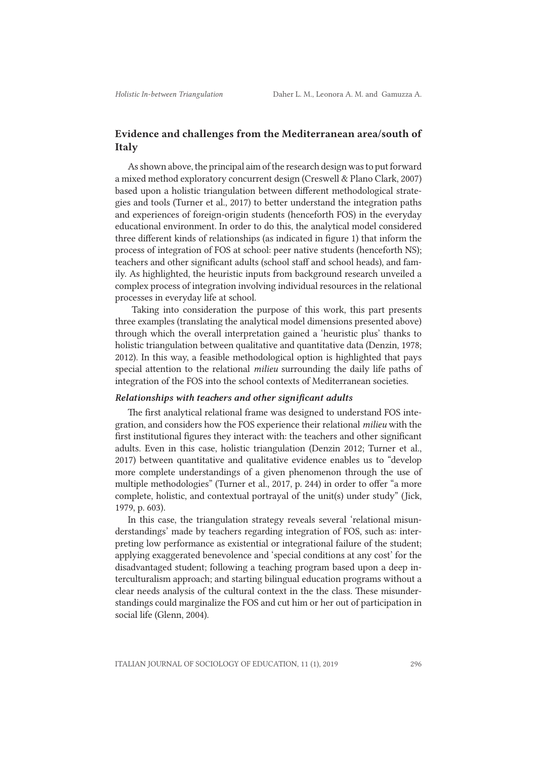## Evidence and challenges from the Mediterranean area/south of Italy

As shown above, the principal aim of the research design was to put forward a mixed method exploratory concurrent design (Creswell & Plano Clark, 2007) based upon a holistic triangulation between different methodological strategies and tools (Turner et al., 2017) to better understand the integration paths and experiences of foreign-origin students (henceforth FOS) in the everyday educational environment. In order to do this, the analytical model considered three different kinds of relationships (as indicated in figure 1) that inform the process of integration of FOS at school: peer native students (henceforth NS); teachers and other significant adults (school staff and school heads), and family. As highlighted, the heuristic inputs from background research unveiled a complex process of integration involving individual resources in the relational processes in everyday life at school.

 Taking into consideration the purpose of this work, this part presents three examples (translating the analytical model dimensions presented above) through which the overall interpretation gained a 'heuristic plus' thanks to holistic triangulation between qualitative and quantitative data (Denzin, 1978; 2012). In this way, a feasible methodological option is highlighted that pays special attention to the relational *milieu* surrounding the daily life paths of integration of the FOS into the school contexts of Mediterranean societies.

#### *Relationships with teachers and other significant adults*

The first analytical relational frame was designed to understand FOS integration, and considers how the FOS experience their relational *milieu* with the first institutional figures they interact with: the teachers and other significant adults. Even in this case, holistic triangulation (Denzin 2012; Turner et al., 2017) between quantitative and qualitative evidence enables us to "develop more complete understandings of a given phenomenon through the use of multiple methodologies" (Turner et al., 2017, p. 244) in order to offer "a more complete, holistic, and contextual portrayal of the unit(s) under study" (Jick, 1979, p. 603).

In this case, the triangulation strategy reveals several 'relational misunderstandings' made by teachers regarding integration of FOS, such as: interpreting low performance as existential or integrational failure of the student; applying exaggerated benevolence and 'special conditions at any cost' for the disadvantaged student; following a teaching program based upon a deep interculturalism approach; and starting bilingual education programs without a clear needs analysis of the cultural context in the the class. These misunderstandings could marginalize the FOS and cut him or her out of participation in social life (Glenn, 2004).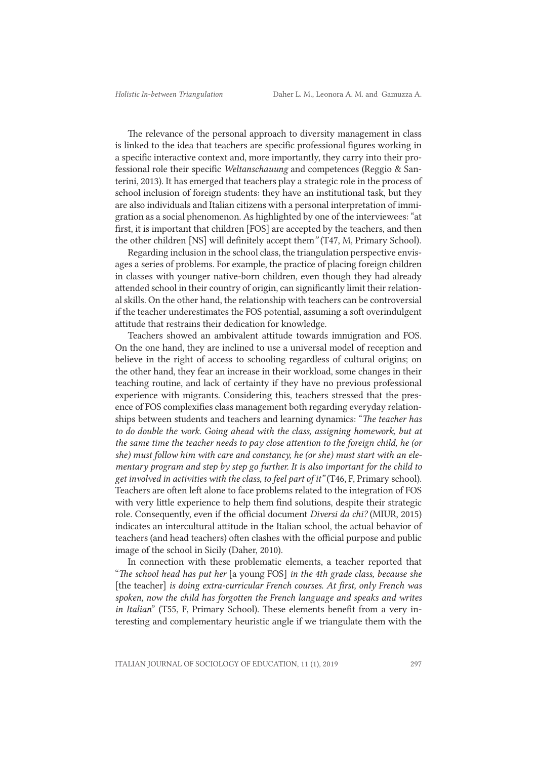The relevance of the personal approach to diversity management in class is linked to the idea that teachers are specific professional figures working in a specific interactive context and, more importantly, they carry into their professional role their specific *Weltanschauung* and competences (Reggio & Santerini, 2013). It has emerged that teachers play a strategic role in the process of school inclusion of foreign students: they have an institutional task, but they are also individuals and Italian citizens with a personal interpretation of immigration as a social phenomenon. As highlighted by one of the interviewees: "at first, it is important that children [FOS] are accepted by the teachers, and then the other children [NS] will definitely accept them*"* (T47, M, Primary School).

Regarding inclusion in the school class, the triangulation perspective envisages a series of problems. For example, the practice of placing foreign children in classes with younger native-born children, even though they had already attended school in their country of origin, can significantly limit their relational skills. On the other hand, the relationship with teachers can be controversial if the teacher underestimates the FOS potential, assuming a soft overindulgent attitude that restrains their dedication for knowledge.

Teachers showed an ambivalent attitude towards immigration and FOS. On the one hand, they are inclined to use a universal model of reception and believe in the right of access to schooling regardless of cultural origins; on the other hand, they fear an increase in their workload, some changes in their teaching routine, and lack of certainty if they have no previous professional experience with migrants. Considering this, teachers stressed that the presence of FOS complexifies class management both regarding everyday relationships between students and teachers and learning dynamics: "*The teacher has*  to do double the work. Going ahead with the class, assigning homework, but at *the same time the teacher needs to pay close attention to the foreign child, he (or she) must follow him with care and constancy, he (or she) must start with an elementary program and step by step go further. It is also important for the child to get involved in activities with the class, to feel part of it"* (T46, F, Primary school). Teachers are often left alone to face problems related to the integration of FOS with very little experience to help them find solutions, despite their strategic role. Consequently, even if the official document *Diversi da chi?* (MIUR, 2015) indicates an intercultural attitude in the Italian school, the actual behavior of teachers (and head teachers) often clashes with the official purpose and public image of the school in Sicily (Daher, 2010).

In connection with these problematic elements, a teacher reported that "*The school head has put her* [a young FOS] *in the 4th grade class, because she*  [the teacher] *is doing extra-curricular French courses. At first, only French was spoken, now the child has forgotten the French language and speaks and writes in Italian*" (T55, F, Primary School). These elements benefit from a very interesting and complementary heuristic angle if we triangulate them with the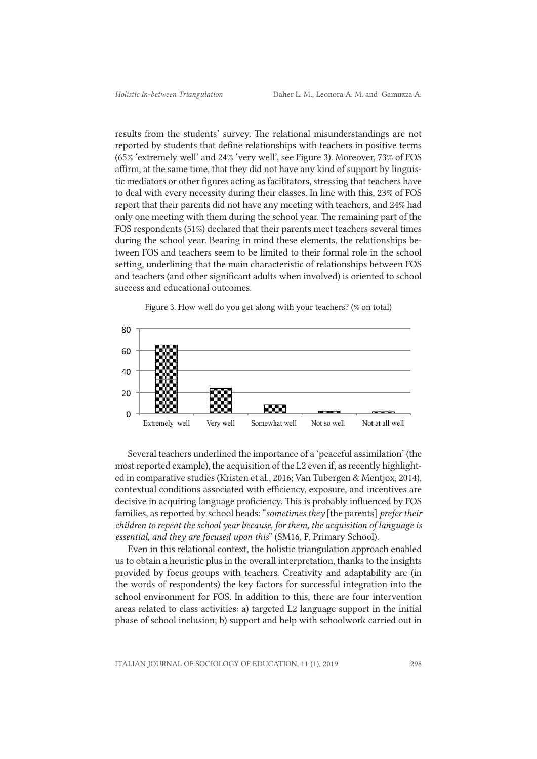results from the students' survey. The relational misunderstandings are not reported by students that define relationships with teachers in positive terms (65% 'extremely well' and 24% 'very well', see Figure 3). Moreover, 73% of FOS affirm, at the same time, that they did not have any kind of support by linguistic mediators or other figures acting as facilitators, stressing that teachers have to deal with every necessity during their classes. In line with this, 23% of FOS report that their parents did not have any meeting with teachers, and 24% had only one meeting with them during the school year. The remaining part of the FOS respondents (51%) declared that their parents meet teachers several times during the school year. Bearing in mind these elements, the relationships between FOS and teachers seem to be limited to their formal role in the school setting, underlining that the main characteristic of relationships between FOS and teachers (and other significant adults when involved) is oriented to school success and educational outcomes.



Figure 3. How well do you get along with your teachers? (% on total)

Several teachers underlined the importance of a 'peaceful assimilation' (the most reported example), the acquisition of the L2 even if, as recently highlighted in comparative studies (Kristen et al., 2016; Van Tubergen & Mentjox, 2014), contextual conditions associated with efficiency, exposure, and incentives are decisive in acquiring language proficiency. This is probably influenced by FOS families, as reported by school heads: "*sometimes they* [the parents] *prefer their children to repeat the school year because, for them, the acquisition of language is essential, and they are focused upon this*" (SM16, F, Primary School).

Even in this relational context, the holistic triangulation approach enabled us to obtain a heuristic plus in the overall interpretation, thanks to the insights provided by focus groups with teachers. Creativity and adaptability are (in the words of respondents) the key factors for successful integration into the school environment for FOS. In addition to this, there are four intervention areas related to class activities: a) targeted L2 language support in the initial phase of school inclusion; b) support and help with schoolwork carried out in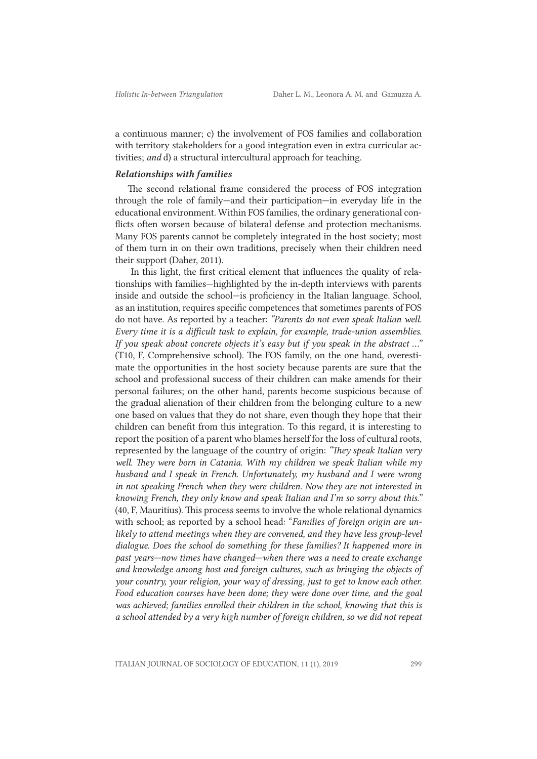a continuous manner; c) the involvement of FOS families and collaboration with territory stakeholders for a good integration even in extra curricular activities; *and* d) a structural intercultural approach for teaching.

### *Relationships with families*

The second relational frame considered the process of FOS integration through the role of family—and their participation—in everyday life in the educational environment. Within FOS families, the ordinary generational conflicts often worsen because of bilateral defense and protection mechanisms. Many FOS parents cannot be completely integrated in the host society; most of them turn in on their own traditions, precisely when their children need their support (Daher, 2011).

 In this light, the first critical element that influences the quality of relationships with families—highlighted by the in-depth interviews with parents inside and outside the school—is proficiency in the Italian language. School, as an institution, requires specific competences that sometimes parents of FOS do not have. As reported by a teacher: *"Parents do not even speak Italian well. Every time it is a difficult task to explain, for example, trade-union assemblies. If you speak about concrete objects it's easy but if you speak in the abstract ..."* (T10, F, Comprehensive school). The FOS family, on the one hand, overestimate the opportunities in the host society because parents are sure that the school and professional success of their children can make amends for their personal failures; on the other hand, parents become suspicious because of the gradual alienation of their children from the belonging culture to a new one based on values that they do not share, even though they hope that their children can benefit from this integration. To this regard, it is interesting to report the position of a parent who blames herself for the loss of cultural roots, represented by the language of the country of origin: *"They speak Italian very well. They were born in Catania. With my children we speak Italian while my husband and I speak in French. Unfortunately, my husband and I were wrong in not speaking French when they were children. Now they are not interested in knowing French, they only know and speak Italian and I'm so sorry about this."* (40, F, Mauritius). This process seems to involve the whole relational dynamics with school; as reported by a school head: "*Families of foreign origin are unlikely to attend meetings when they are convened, and they have less group-level dialogue. Does the school do something for these families? It happened more in past years—now times have changed—when there was a need to create exchange and knowledge among host and foreign cultures, such as bringing the objects of your country, your religion, your way of dressing, just to get to know each other. Food education courses have been done; they were done over time, and the goal*  was achieved; families enrolled their children in the school, knowing that this is *a school attended by a very high number of foreign children, so we did not repeat*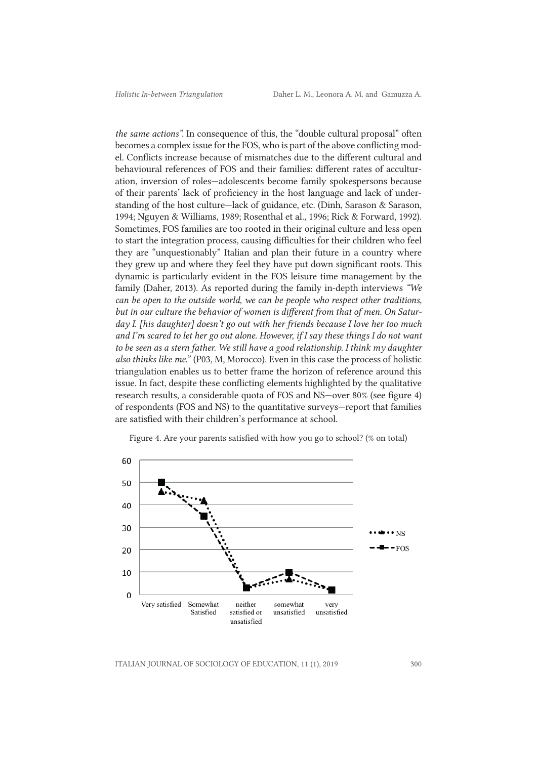*the same actions".* In consequence of this, the "double cultural proposal" often becomes a complex issue for the FOS, who is part of the above conflicting model. Conflicts increase because of mismatches due to the different cultural and behavioural references of FOS and their families: different rates of acculturation, inversion of roles—adolescents become family spokespersons because of their parents' lack of proficiency in the host language and lack of understanding of the host culture—lack of guidance, etc. (Dinh, Sarason & Sarason, 1994; Nguyen & Williams, 1989; Rosenthal et al*.,* 1996; Rick & Forward, 1992). Sometimes, FOS families are too rooted in their original culture and less open to start the integration process, causing difficulties for their children who feel they are "unquestionably" Italian and plan their future in a country where they grew up and where they feel they have put down significant roots. This dynamic is particularly evident in the FOS leisure time management by the family (Daher, 2013). As reported during the family in-depth interviews *"We can be open to the outside world, we can be people who respect other traditions, but in our culture the behavior of women is different from that of men. On Saturday I. [his daughter] doesn't go out with her friends because I love her too much and I'm scared to let her go out alone. However, if I say these things I do not want to be seen as a stern father. We still have a good relationship. I think my daughter also thinks like me.*" (P03, M, Morocco). Even in this case the process of holistic triangulation enables us to better frame the horizon of reference around this issue. In fact, despite these conflicting elements highlighted by the qualitative research results, a considerable quota of FOS and NS—over 80% (see figure 4) of respondents (FOS and NS) to the quantitative surveys—report that families are satisfied with their children's performance at school.



Figure 4. Are your parents satisfied with how you go to school? (% on total)

ITALIAN JOURNAL OF SOCIOLOGY OF EDUCATION, 11 (1), 2019 300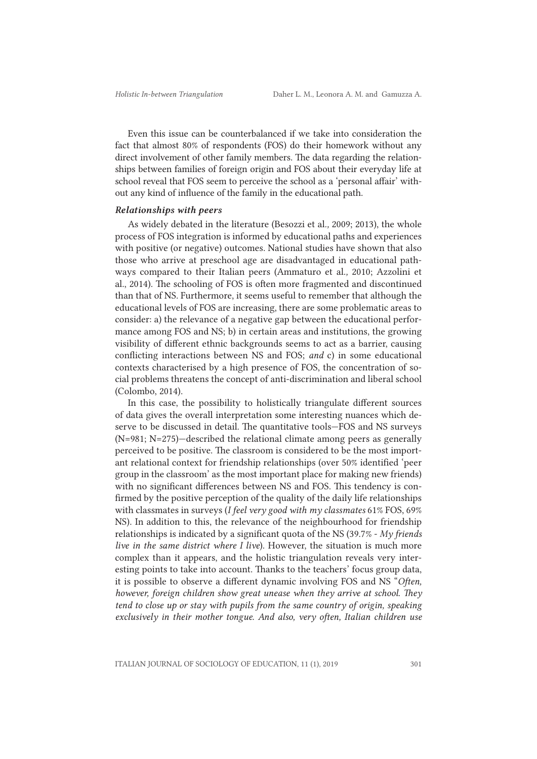Even this issue can be counterbalanced if we take into consideration the fact that almost 80% of respondents (FOS) do their homework without any direct involvement of other family members. The data regarding the relationships between families of foreign origin and FOS about their everyday life at school reveal that FOS seem to perceive the school as a 'personal affair' without any kind of influence of the family in the educational path.

#### *Relationships with peers*

As widely debated in the literature (Besozzi et al*.,* 2009; 2013), the whole process of FOS integration is informed by educational paths and experiences with positive (or negative) outcomes. National studies have shown that also those who arrive at preschool age are disadvantaged in educational pathways compared to their Italian peers (Ammaturo et al*.,* 2010; Azzolini et al., 2014). The schooling of FOS is often more fragmented and discontinued than that of NS. Furthermore, it seems useful to remember that although the educational levels of FOS are increasing, there are some problematic areas to consider: a) the relevance of a negative gap between the educational performance among FOS and NS; b) in certain areas and institutions, the growing visibility of different ethnic backgrounds seems to act as a barrier, causing conflicting interactions between NS and FOS; *and* c) in some educational contexts characterised by a high presence of FOS, the concentration of social problems threatens the concept of anti-discrimination and liberal school (Colombo, 2014).

In this case, the possibility to holistically triangulate different sources of data gives the overall interpretation some interesting nuances which deserve to be discussed in detail. The quantitative tools—FOS and NS surveys (N=981; N=275)—described the relational climate among peers as generally perceived to be positive. The classroom is considered to be the most important relational context for friendship relationships (over 50% identified 'peer group in the classroom' as the most important place for making new friends) with no significant differences between NS and FOS. This tendency is confirmed by the positive perception of the quality of the daily life relationships with classmates in surveys (*I feel very good with my classmates* 61% FOS, 69% NS). In addition to this, the relevance of the neighbourhood for friendship relationships is indicated by a significant quota of the NS (39.7% - *My friends live in the same district where I live*). However, the situation is much more complex than it appears, and the holistic triangulation reveals very interesting points to take into account. Thanks to the teachers' focus group data, it is possible to observe a different dynamic involving FOS and NS "*Often, however, foreign children show great unease when they arrive at school. They tend to close up or stay with pupils from the same country of origin, speaking exclusively in their mother tongue. And also, very often, Italian children use*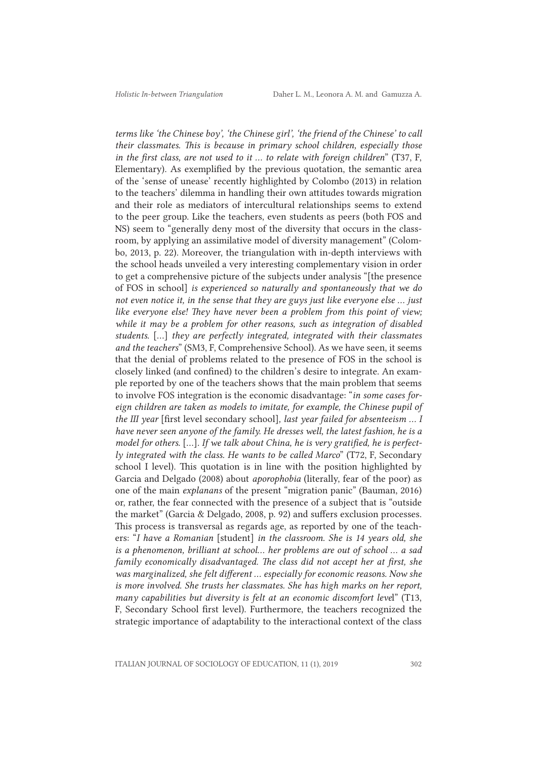*terms like 'the Chinese boy', 'the Chinese girl', 'the friend of the Chinese' to call their classmates. This is because in primary school children, especially those in the first class, are not used to it ... to relate with foreign children*" (T37, F, Elementary). As exemplified by the previous quotation, the semantic area of the 'sense of unease' recently highlighted by Colombo (2013) in relation to the teachers' dilemma in handling their own attitudes towards migration and their role as mediators of intercultural relationships seems to extend to the peer group. Like the teachers, even students as peers (both FOS and NS) seem to "generally deny most of the diversity that occurs in the classroom, by applying an assimilative model of diversity management" (Colombo, 2013, p. 22). Moreover, the triangulation with in-depth interviews with the school heads unveiled a very interesting complementary vision in order to get a comprehensive picture of the subjects under analysis "[the presence of FOS in school] *is experienced so naturally and spontaneously that we do not even notice it, in the sense that they are guys just like everyone else ... just like everyone else! They have never been a problem from this point of view; while it may be a problem for other reasons, such as integration of disabled students.* [...] *they are perfectly integrated, integrated with their classmates and the teachers*" (SM3, F, Comprehensive School). As we have seen, it seems that the denial of problems related to the presence of FOS in the school is closely linked (and confined) to the children's desire to integrate. An example reported by one of the teachers shows that the main problem that seems to involve FOS integration is the economic disadvantage: "*in some cases foreign children are taken as models to imitate, for example, the Chinese pupil of the III year* [first level secondary school]*, last year failed for absenteeism … I have never seen anyone of the family. He dresses well, the latest fashion, he is a model for others.* [...]*. If we talk about China, he is very gratified, he is perfectly integrated with the class. He wants to be called Marco*" (T72, F, Secondary school I level). This quotation is in line with the position highlighted by Garcia and Delgado (2008) about *aporophobia* (literally, fear of the poor) as one of the main *explanans* of the present "migration panic" (Bauman, 2016) or, rather, the fear connected with the presence of a subject that is "outside the market" (Garcia & Delgado, 2008, p. 92) and suffers exclusion processes. This process is transversal as regards age, as reported by one of the teachers: "*I have a Romanian* [student] *in the classroom. She is 14 years old, she is a phenomenon, brilliant at school... her problems are out of school ... a sad family economically disadvantaged. The class did not accept her at first, she was marginalized, she felt different ... especially for economic reasons. Now she is more involved. She trusts her classmates. She has high marks on her report, many capabilities but diversity is felt at an economic discomfort leve*l" (T13, F, Secondary School first level). Furthermore, the teachers recognized the strategic importance of adaptability to the interactional context of the class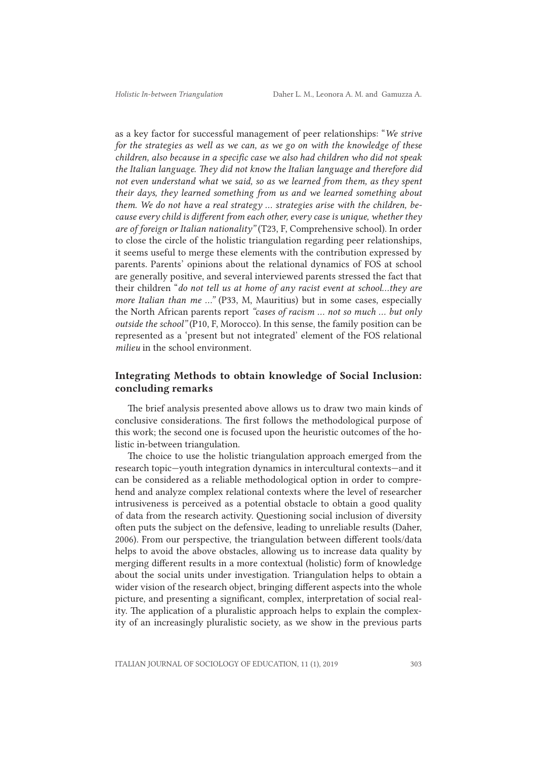as a key factor for successful management of peer relationships: "*We strive for the strategies as well as we can, as we go on with the knowledge of these children, also because in a specific case we also had children who did not speak the Italian language. They did not know the Italian language and therefore did not even understand what we said, so as we learned from them, as they spent their days, they learned something from us and we learned something about them. We do not have a real strategy ... strategies arise with the children, because every child is different from each other, every case is unique, whether they are of foreign or Italian nationality"* (T23, F, Comprehensive school). In order to close the circle of the holistic triangulation regarding peer relationships, it seems useful to merge these elements with the contribution expressed by parents. Parents' opinions about the relational dynamics of FOS at school are generally positive, and several interviewed parents stressed the fact that their children "*do not tell us at home of any racist event at school...they are more Italian than me …"* (P33, M, Mauritius) but in some cases, especially the North African parents report *"cases of racism ... not so much ... but only outside the school"* (P10, F, Morocco). In this sense, the family position can be represented as a 'present but not integrated' element of the FOS relational *milieu* in the school environment.

### Integrating Methods to obtain knowledge of Social Inclusion: concluding remarks

The brief analysis presented above allows us to draw two main kinds of conclusive considerations. The first follows the methodological purpose of this work; the second one is focused upon the heuristic outcomes of the holistic in-between triangulation.

The choice to use the holistic triangulation approach emerged from the research topic—youth integration dynamics in intercultural contexts—and it can be considered as a reliable methodological option in order to comprehend and analyze complex relational contexts where the level of researcher intrusiveness is perceived as a potential obstacle to obtain a good quality of data from the research activity. Questioning social inclusion of diversity often puts the subject on the defensive, leading to unreliable results (Daher, 2006). From our perspective, the triangulation between different tools/data helps to avoid the above obstacles, allowing us to increase data quality by merging different results in a more contextual (holistic) form of knowledge about the social units under investigation. Triangulation helps to obtain a wider vision of the research object, bringing different aspects into the whole picture, and presenting a significant, complex, interpretation of social reality. The application of a pluralistic approach helps to explain the complexity of an increasingly pluralistic society, as we show in the previous parts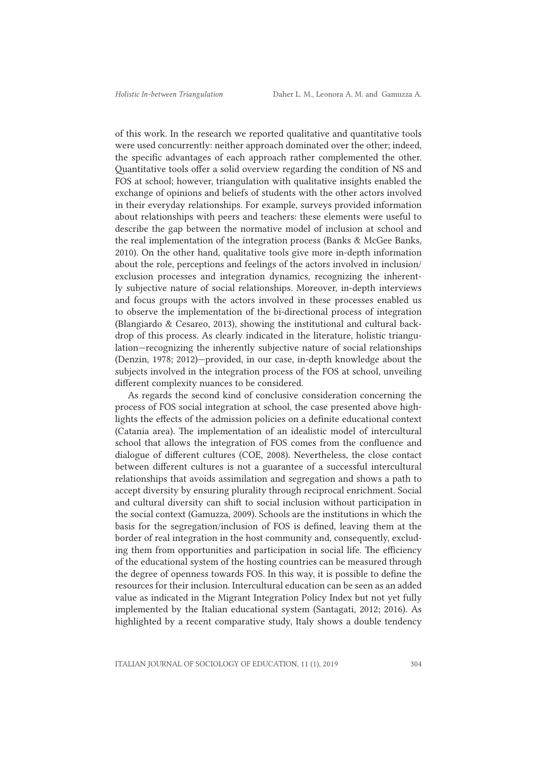of this work. In the research we reported qualitative and quantitative tools were used concurrently: neither approach dominated over the other; indeed, the specific advantages of each approach rather complemented the other. Quantitative tools offer a solid overview regarding the condition of NS and FOS at school; however, triangulation with qualitative insights enabled the exchange of opinions and beliefs of students with the other actors involved in their everyday relationships. For example, surveys provided information about relationships with peers and teachers: these elements were useful to describe the gap between the normative model of inclusion at school and the real implementation of the integration process (Banks & McGee Banks, 2010). On the other hand, qualitative tools give more in-depth information about the role, perceptions and feelings of the actors involved in inclusion/ exclusion processes and integration dynamics, recognizing the inherently subjective nature of social relationships. Moreover, in-depth interviews and focus groups with the actors involved in these processes enabled us to observe the implementation of the bi-directional process of integration (Blangiardo & Cesareo, 2013), showing the institutional and cultural backdrop of this process. As clearly indicated in the literature, holistic triangulation—recognizing the inherently subjective nature of social relationships (Denzin, 1978; 2012)—provided, in our case, in-depth knowledge about the subjects involved in the integration process of the FOS at school, unveiling different complexity nuances to be considered.

As regards the second kind of conclusive consideration concerning the process of FOS social integration at school, the case presented above highlights the effects of the admission policies on a definite educational context (Catania area). The implementation of an idealistic model of intercultural school that allows the integration of FOS comes from the confluence and dialogue of different cultures (COE, 2008). Nevertheless, the close contact between different cultures is not a guarantee of a successful intercultural relationships that avoids assimilation and segregation and shows a path to accept diversity by ensuring plurality through reciprocal enrichment. Social and cultural diversity can shift to social inclusion without participation in the social context (Gamuzza, 2009). Schools are the institutions in which the basis for the segregation/inclusion of FOS is defined, leaving them at the border of real integration in the host community and, consequently, excluding them from opportunities and participation in social life. The efficiency of the educational system of the hosting countries can be measured through the degree of openness towards FOS. In this way, it is possible to define the resources for their inclusion. Intercultural education can be seen as an added value as indicated in the Migrant Integration Policy Index but not yet fully implemented by the Italian educational system (Santagati, 2012; 2016). As highlighted by a recent comparative study, Italy shows a double tendency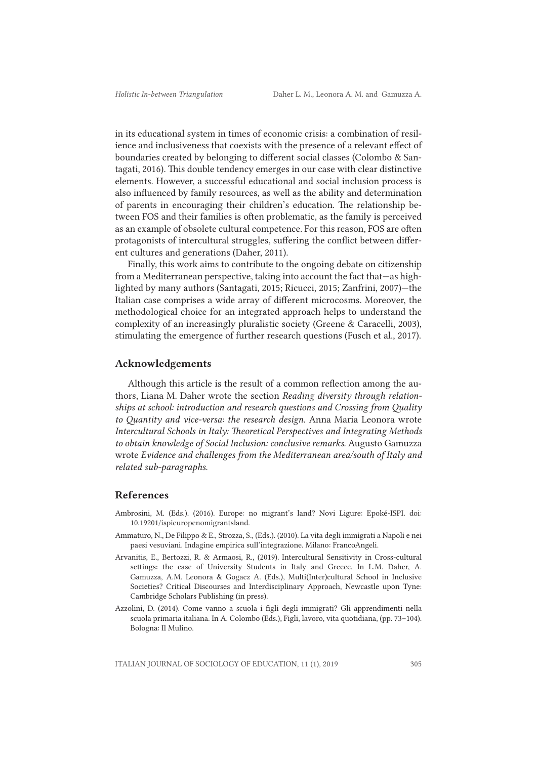in its educational system in times of economic crisis: a combination of resilience and inclusiveness that coexists with the presence of a relevant effect of boundaries created by belonging to different social classes (Colombo & Santagati, 2016). This double tendency emerges in our case with clear distinctive elements. However, a successful educational and social inclusion process is also influenced by family resources, as well as the ability and determination of parents in encouraging their children's education. The relationship between FOS and their families is often problematic, as the family is perceived as an example of obsolete cultural competence. For this reason, FOS are often protagonists of intercultural struggles, suffering the conflict between different cultures and generations (Daher, 2011).

Finally, this work aims to contribute to the ongoing debate on citizenship from a Mediterranean perspective, taking into account the fact that—as highlighted by many authors (Santagati, 2015; Ricucci, 2015; Zanfrini, 2007)—the Italian case comprises a wide array of different microcosms. Moreover, the methodological choice for an integrated approach helps to understand the complexity of an increasingly pluralistic society (Greene & Caracelli, 2003), stimulating the emergence of further research questions (Fusch et al., 2017).

#### Acknowledgements

Although this article is the result of a common reflection among the authors, Liana M. Daher wrote the section *Reading diversity through relationships at school: introduction and research questions and Crossing from Quality to Quantity and vice-versa: the research design.* Anna Maria Leonora wrote *Intercultural Schools in Italy: Theoretical Perspectives and Integrating Methods to obtain knowledge of Social Inclusion: conclusive remarks.* Augusto Gamuzza wrote *Evidence and challenges from the Mediterranean area/south of Italy and related sub-paragraphs.*

### References

- Ambrosini, M. (Eds.). (2016). Europe: no migrant's land? Novi Ligure: Epoké-ISPI. doi: 10.19201/ispieuropenomigrantsland.
- Ammaturo, N., De Filippo & E., Strozza, S., (Eds.). (2010). La vita degli immigrati a Napoli e nei paesi vesuviani. Indagine empirica sull'integrazione. Milano: FrancoAngeli.
- Arvanitis, E., Bertozzi, R. & Armaosi, R., (2019). Intercultural Sensitivity in Cross-cultural settings: the case of University Students in Italy and Greece. In L.M. Daher, A. Gamuzza, A.M. Leonora & Gogacz A. (Eds.), Multi(Inter)cultural School in Inclusive Societies? Critical Discourses and Interdisciplinary Approach, Newcastle upon Tyne: Cambridge Scholars Publishing (in press).
- Azzolini, D. (2014). Come vanno a scuola i figli degli immigrati? Gli apprendimenti nella scuola primaria italiana. In A. Colombo (Eds.), Figli, lavoro, vita quotidiana, (pp. 73–104). Bologna: Il Mulino.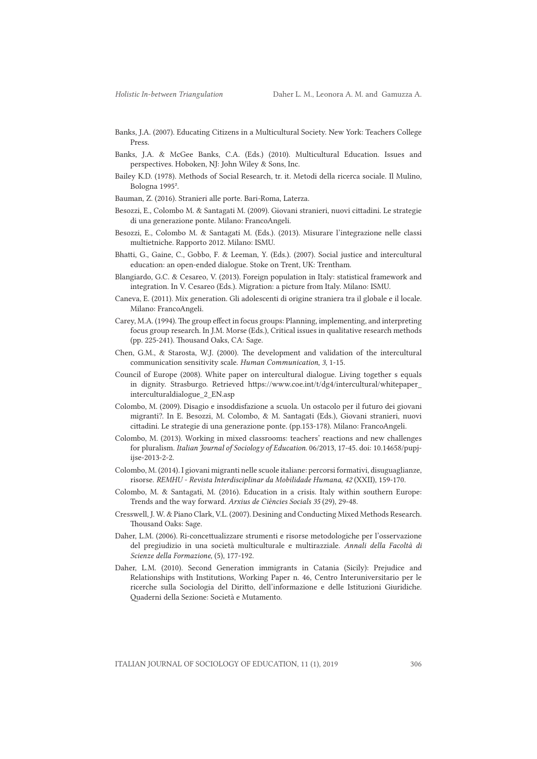- Banks, J.A. (2007). Educating Citizens in a Multicultural Society. New York: Teachers College Press.
- Banks, J.A. & McGee Banks, C.A. (Eds.) (2010). Multicultural Education. Issues and perspectives. Hoboken, NJ: John Wiley & Sons, Inc.
- Bailey K.D. (1978). Methods of Social Research, tr. it. Metodi della ricerca sociale. Il Mulino, Bologna 1995².
- Bauman, Z. (2016). Stranieri alle porte. Bari-Roma, Laterza.
- Besozzi, E., Colombo M. & Santagati M. (2009). Giovani stranieri, nuovi cittadini. Le strategie di una generazione ponte. Milano: FrancoAngeli.
- Besozzi, E., Colombo M. & Santagati M. (Eds.). (2013). Misurare l'integrazione nelle classi multietniche. Rapporto 2012. Milano: ISMU.
- Bhatti, G., Gaine, C., Gobbo, F. & Leeman, Y. (Eds.). (2007). Social justice and intercultural education: an open-ended dialogue. Stoke on Trent, UK: Trentham.
- Blangiardo, G.C. & Cesareo, V. (2013). Foreign population in Italy: statistical framework and integration. In V. Cesareo (Eds.). Migration: a picture from Italy. Milano: ISMU.
- Caneva, E. (2011). Mix generation. Gli adolescenti di origine straniera tra il globale e il locale. Milano: FrancoAngeli.
- Carey, M.A. (1994). The group effect in focus groups: Planning, implementing, and interpreting focus group research. In J.M. Morse (Eds.), Critical issues in qualitative research methods (pp. 225-241). Thousand Oaks, CA: Sage.
- Chen, G.M., & Starosta, W.J. (2000). The development and validation of the intercultural communication sensitivity scale. *Human Communication*, *3*, 1-15.
- Council of Europe (2008). White paper on intercultural dialogue. Living together s equals in dignity. Strasburgo. Retrieved https://www.coe.int/t/dg4/intercultural/whitepaper\_ interculturaldialogue\_2\_EN.asp
- Colombo, M. (2009). Disagio e insoddisfazione a scuola. Un ostacolo per il futuro dei giovani migranti?. In E. Besozzi, M. Colombo, & M. Santagati (Eds.), Giovani stranieri, nuovi cittadini. Le strategie di una generazione ponte. (pp.153-178). Milano: FrancoAngeli.
- Colombo, M. (2013). Working in mixed classrooms: teachers' reactions and new challenges for pluralism. *Italian Journal of Sociology of Education*. 06/2013, 17-45. doi: 10.14658/pupjijse-2013-2-2.
- Colombo, M. (2014). I giovani migranti nelle scuole italiane: percorsi formativi, disuguaglianze, risorse. *REMHU - Revista Interdisciplinar da Mobilidade Humana*, *42* (XXII), 159-170.
- Colombo, M. & Santagati, M. (2016). Education in a crisis. Italy within southern Europe: Trends and the way forward. *Arxius de Ciències Socials 35* (29), 29-48.
- Cresswell, J. W. & Piano Clark, V.L. (2007). Desining and Conducting Mixed Methods Research. Thousand Oaks: Sage.
- Daher, L.M. (2006). Ri-concettualizzare strumenti e risorse metodologiche per l'osservazione del pregiudizio in una società multiculturale e multirazziale. *Annali della Facoltà di Scienze della Formazione,* (5), 177-192.
- Daher, L.M. (2010). Second Generation immigrants in Catania (Sicily): Prejudice and Relationships with Institutions, Working Paper n. 46, Centro Interuniversitario per le ricerche sulla Sociologia del Diritto, dell'informazione e delle Istituzioni Giuridiche. Quaderni della Sezione: Società e Mutamento.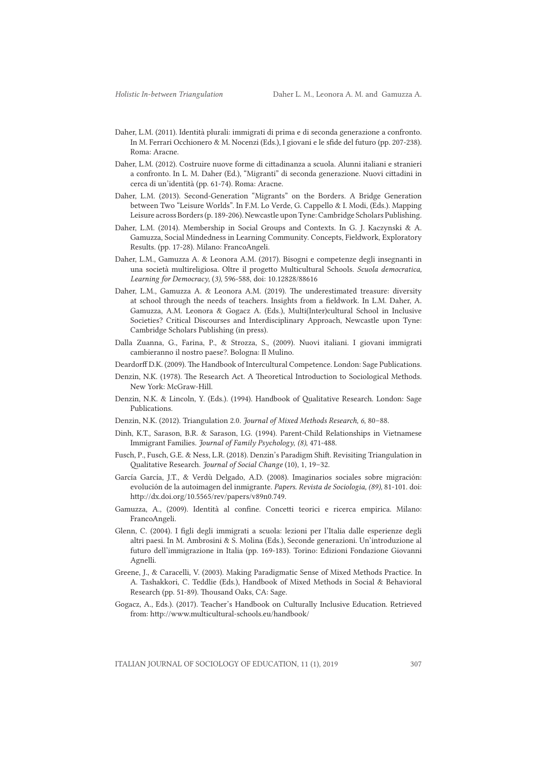- Daher, L.M. (2011). Identità plurali: immigrati di prima e di seconda generazione a confronto. In M. Ferrari Occhionero & M. Nocenzi (Eds.), I giovani e le sfide del futuro (pp. 207-238). Roma: Aracne.
- Daher, L.M. (2012). Costruire nuove forme di cittadinanza a scuola. Alunni italiani e stranieri a confronto. In L. M. Daher (Ed.), "Migranti" di seconda generazione. Nuovi cittadini in cerca di un'identità (pp. 61-74). Roma: Aracne.
- Daher, L.M. (2013). Second-Generation "Migrants" on the Borders. A Bridge Generation between Two "Leisure Worlds". In F.M. Lo Verde, G. Cappello & I. Modi, (Eds.). Mapping Leisure across Borders(p. 189-206). Newcastle upon Tyne: Cambridge Scholars Publishing.
- Daher, L.M. (2014). Membership in Social Groups and Contexts. In G. J. Kaczynski & A. Gamuzza, Social Mindedness in Learning Community. Concepts, Fieldwork, Exploratory Results. (pp. 17-28). Milano: FrancoAngeli.
- Daher, L.M., Gamuzza A. & Leonora A.M. (2017). Bisogni e competenze degli insegnanti in una società multireligiosa. Oltre il progetto Multicultural Schools. *Scuola democratica, Learning for Democracy,* (*3)*, 596-588, doi: 10.12828/88616
- Daher, L.M., Gamuzza A. & Leonora A.M. (2019). The underestimated treasure: diversity at school through the needs of teachers. Insights from a fieldwork. In L.M. Daher, A. Gamuzza, A.M. Leonora & Gogacz A. (Eds.), Multi(Inter)cultural School in Inclusive Societies? Critical Discourses and Interdisciplinary Approach, Newcastle upon Tyne: Cambridge Scholars Publishing (in press).
- Dalla Zuanna, G., Farina, P., & Strozza, S., (2009). Nuovi italiani. I giovani immigrati cambieranno il nostro paese?. Bologna: Il Mulino.
- Deardorff D.K. (2009). The Handbook of Intercultural Competence. London: Sage Publications.
- Denzin, N.K. (1978). The Research Act. A Theoretical Introduction to Sociological Methods. New York: McGraw-Hill.
- Denzin, N.K. & Lincoln, Y. (Eds.). (1994). Handbook of Qualitative Research. London: Sage Publications.
- Denzin, N.K. (2012). Triangulation 2.0. *Journal of Mixed Methods Research, 6*, 80–88.
- Dinh, K.T., Sarason, B.R. & Sarason, I.G. (1994). Parent-Child Relationships in Vietnamese Immigrant Families. *Journal of Family Psychology*, *(8)*, 471-488.
- Fusch, P., Fusch, G.E. & Ness, L.R. (2018). Denzin's Paradigm Shift. Revisiting Triangulation in Qualitative Research. *Journal of Social Change* (10), 1, 19–32.
- García García, J.T., & Verdù Delgado, A.D. (2008). Imaginarios sociales sobre migración: evolución de la autoimagen del inmigrante. *Papers. Revista de Sociologia, (89)*, 81-101. doi: http://dx.doi.org/10.5565/rev/papers/v89n0.749.
- Gamuzza, A., (2009). Identità al confine. Concetti teorici e ricerca empirica. Milano: FrancoAngeli.
- Glenn, C. (2004). I figli degli immigrati a scuola: lezioni per l'Italia dalle esperienze degli altri paesi. In M. Ambrosini & S. Molina (Eds.), Seconde generazioni. Un'introduzione al futuro dell'immigrazione in Italia (pp. 169-183). Torino: Edizioni Fondazione Giovanni Agnelli.
- Greene, J., & Caracelli, V. (2003). Making Paradigmatic Sense of Mixed Methods Practice. In A. Tashakkori, C. Teddlie (Eds.), Handbook of Mixed Methods in Social & Behavioral Research (pp. 51-89). Thousand Oaks, CA: Sage.
- Gogacz, A., Eds.). (2017). Teacher's Handbook on Culturally Inclusive Education. Retrieved from: http://www.multicultural-schools.eu/handbook/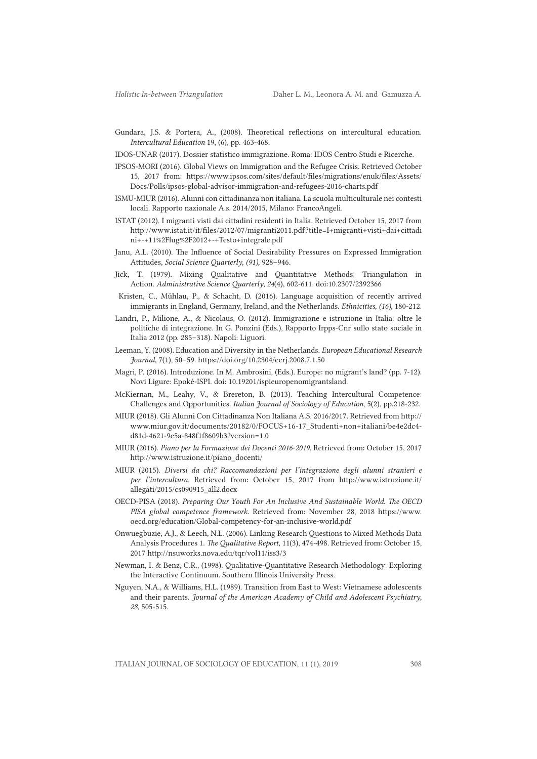- Gundara, J.S. & Portera, A., (2008). Theoretical reflections on intercultural education. *Intercultural Education* 19, (6), pp. 463-468.
- IDOS-UNAR (2017). Dossier statistico immigrazione. Roma: IDOS Centro Studi e Ricerche.
- IPSOS-MORI (2016). Global Views on Immigration and the Refugee Crisis. Retrieved October 15, 2017 from: https://www.ipsos.com/sites/default/files/migrations/enuk/files/Assets/ Docs/Polls/ipsos-global-advisor-immigration-and-refugees-2016-charts.pdf
- ISMU-MIUR (2016). Alunni con cittadinanza non italiana. La scuola multiculturale nei contesti locali. Rapporto nazionale A.s. 2014/2015, Milano: FrancoAngeli.
- ISTAT (2012). I migranti visti dai cittadini residenti in Italia. Retrieved October 15, 2017 from http://www.istat.it/it/files/2012/07/migranti2011.pdf?title=I+migranti+visti+dai+cittadi ni+-+11%2Flug%2F2012+-+Testo+integrale.pdf
- Janu, A.L. (2010). The Influence of Social Desirability Pressures on Expressed Immigration Attitudes, *Social Science Quarterly*, *(91),* 928–946.
- Jick, T. (1979). Mixing Qualitative and Quantitative Methods: Triangulation in Action. *Administrative Science Quarterly, 24*(4), 602-611. doi:10.2307/2392366
- Kristen, C., Mühlau, P., & Schacht, D. (2016). Language acquisition of recently arrived immigrants in England, Germany, Ireland, and the Netherlands. *Ethnicities*, *(16)*, 180-212.
- Landri, P., Milione, A., & Nicolaus, O. (2012). Immigrazione e istruzione in Italia: oltre le politiche di integrazione. In G. Ponzini (Eds.), Rapporto Irpps-Cnr sullo stato sociale in Italia 2012 (pp. 285–318). Napoli: Liguori.
- Leeman, Y. (2008). Education and Diversity in the Netherlands*. European Educational Research Journal*, 7(1), 50–59. https://doi.org/10.2304/eerj.2008.7.1.50
- Magri, P. (2016). Introduzione. In M. Ambrosini, (Eds.). Europe: no migrant's land? (pp. 7-12). Novi Ligure: Epoké-ISPI. doi: 10.19201/ispieuropenomigrantsland.
- McKiernan, M., Leahy, V., & Brereton, B. (2013). Teaching Intercultural Competence: Challenges and Opportunities*. Italian Journal of Sociology of Education*, 5(2), pp.218-232.
- MIUR (2018). Gli Alunni Con Cittadinanza Non Italiana A.S. 2016/2017. Retrieved from http:// www.miur.gov.it/documents/20182/0/FOCUS+16-17\_Studenti+non+italiani/be4e2dc4 d81d-4621-9e5a-848f1f8609b3?version=1.0
- MIUR (2016). *Piano per la Formazione dei Docenti 2016-2019*. Retrieved from: October 15, 2017 http://www.istruzione.it/piano\_docenti/
- MIUR (2015). *Diversi da chi? Raccomandazioni per l'integrazione degli alunni stranieri e per l'intercultura.* Retrieved from: October 15, 2017 from http://www.istruzione.it/ allegati/2015/cs090915\_all2.docx
- OECD-PISA (2018). *Preparing Our Youth For An Inclusive And Sustainable World. The OECD PISA global competence framework.* Retrieved from: November 28, 2018 https://www. oecd.org/education/Global-competency-for-an-inclusive-world.pdf
- Onwuegbuzie, A.J., & Leech, N.L. (2006). Linking Research Questions to Mixed Methods Data Analysis Procedures 1. *The Qualitative Report,* 11(3), 474-498. Retrieved from: October 15, 2017 http://nsuworks.nova.edu/tqr/vol11/iss3/3
- Newman, I. & Benz, C.R., (1998). Qualitative-Quantitative Research Methodology: Exploring the Interactive Continuum. Southern Illinois University Press.
- Nguyen, N.A., & Williams, H.L. (1989). Transition from East to West: Vietnamese adolescents and their parents. *Journal of the American Academy of Child and Adolescent Psychiatry, 28,* 505-515.